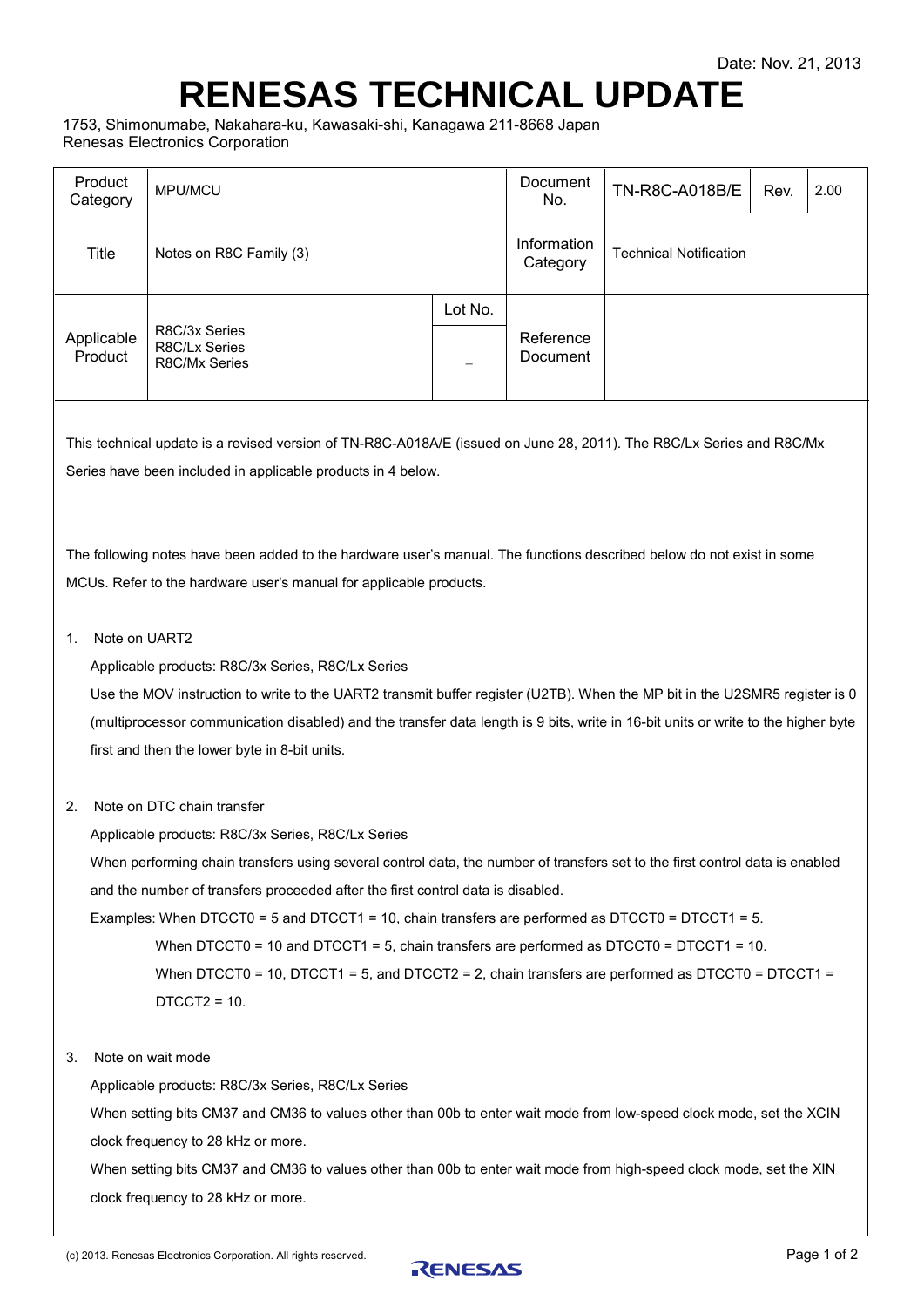## <span id="page-0-1"></span><span id="page-0-0"></span>**RENESAS TECHNICAL UPDATE**

1753, Shimonumabe, Nakahara-ku, Kawasaki-shi, Kanagawa 211-8668 Japan Renesas Electronics Corporation

| Product<br>Category   | MPU/MCU                                         |              | Document<br>No.         | TN-R8C-A018B/E                | Rev. | 2.00 |
|-----------------------|-------------------------------------------------|--------------|-------------------------|-------------------------------|------|------|
| Title                 | Notes on R8C Family (3)                         |              | Information<br>Category | <b>Technical Notification</b> |      |      |
| Applicable<br>Product | R8C/3x Series<br>R8C/Lx Series<br>R8C/Mx Series | Lot No.<br>- | Reference<br>Document   |                               |      |      |

This technical update is a revised version of TN-R8C-A018A/E (issued on June 28, 2011). The R8C/Lx Series and R8C/Mx Series have been included in applicable products in 4 below.

The following notes have been added to the hardware user's manual. The functions described below do not exist in some MCUs. Refer to the hardware user's manual for applicable products.

## 1. Note on UART2

Applicable products: R8C/3x Series, R8C/Lx Series

Use the MOV instruction to write to the UART2 transmit buffer register (U2TB). When the MP bit in the U2SMR5 register is 0 (multiprocessor communication disabled) and the transfer data length is 9 bits, write in 16-bit units or write to the higher byte first and then the lower byte in 8-bit units.

2. Note on DTC chain transfer

Applicable products: R8C/3x Series, R8C/Lx Series

When performing chain transfers using several control data, the number of transfers set to the first control data is enabled and the number of transfers proceeded after the first control data is disabled.

Examples: When DTCCT0 = 5 and DTCCT1 = 10, chain transfers are performed as DTCCT0 = DTCCT1 = 5.

When DTCCT0 = 10 and DTCCT1 = 5, chain transfers are performed as DTCCT0 = DTCCT1 = 10.

When DTCCT0 = 10, DTCCT1 = 5, and DTCCT2 = 2, chain transfers are performed as DTCCT0 = DTCCT1 =  $DTCCT2 = 10$ .

3. Note on wait mode

Applicable products: R8C/3x Series, R8C/Lx Series

When setting bits CM37 and CM36 to values other than 00b to enter wait mode from low-speed clock mode, set the XCIN clock frequency to 28 kHz or more.

When setting bits CM37 and CM36 to values other than 00b to enter wait mode from high-speed clock mode, set the XIN clock frequency to 28 kHz or more.